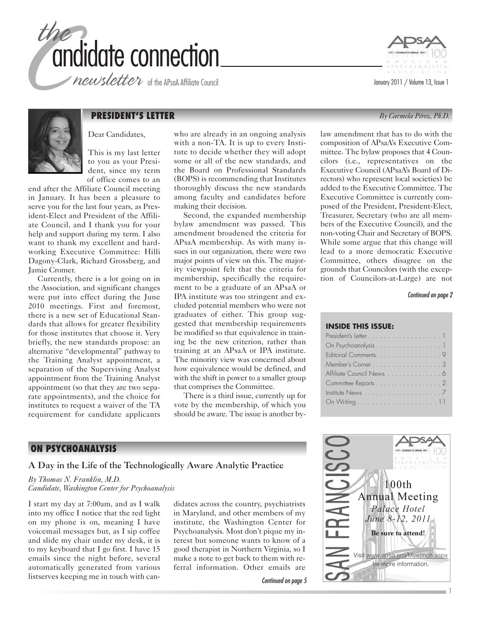

newsletter of the APsaA Affiliate Council





# **PRESIDENT'S LETTER** *By Carmela Pérez, Ph.D.*

Dear Candidates,

This is my last letter to you as your President, since my term of office comes to an

end after the Affiliate Council meeting in January. It has been a pleasure to serve you for the last four years, as President-Elect and President of the Affiliate Council, and I thank you for your help and support during my term. I also want to thank my excellent and hardworking Executive Committee: Hilli Dagony-Clark, Richard Grossberg, and Jamie Cromer.

Currently, there is a lot going on in the Association, and significant changes were put into effect during the June 2010 meetings. First and foremost, there is a new set of Educational Standards that allows for greater flexibility for those institutes that choose it. Very briefly, the new standards propose: an alternative "developmental" pathway to the Training Analyst appointment, a separation of the Supervising Analyst appointment from the Training Analyst appointment (so that they are two separate appointments), and the choice for institutes to request a waiver of the TA requirement for candidate applicants

who are already in an ongoing analysis with a non-TA. It is up to every Institute to decide whether they will adopt some or all of the new standards, and the Board on Professional Standards (BOPS) is recommending that Institutes thoroughly discuss the new standards among faculty and candidates before making their decision.

Second, the expanded membership bylaw amendment was passed. This amendment broadened the criteria for APsaA membership. As with many issues in our organization, there were two major points of view on this. The majority viewpoint felt that the criteria for membership, specifically the requirement to be a graduate of an APsaA or IPA institute was too stringent and excluded potential members who were not graduates of either. This group suggested that membership requirements be modified so that equivalence in training be the new criterion, rather than training at an APsaA or IPA institute. The minority view was concerned about how equivalence would be defined, and with the shift in power to a smaller group that comprises the Committee.

There is a third issue, currently up for vote by the membership, of which you should be aware. The issue is another bylaw amendment that has to do with the composition of APsaA's Executive Committee. The bylaw proposes that 4 Councilors (i.e., representatives on the Executive Council (APsaA's Board of Directors) who represent local societies) be added to the Executive Committee. The Executive Committee is currently composed of the President, President-Elect, Treasurer, Secretary (who are all members of the Executive Council), and the non-voting Chair and Secretary of BOPS. While some argue that this change will lead to a more democratic Executive Committee, others disagree on the grounds that Councilors (with the exception of Councilors-at-Large) are not

Continued on page 2

#### **INSIDE THIS ISSUE:**

| On Psychoanalysis 1                                       |  |
|-----------------------------------------------------------|--|
| Editorial Comments. 9                                     |  |
| Member's Corner. 3                                        |  |
| Affiliate Council News 6                                  |  |
| Committee Reports 2                                       |  |
| Institute News $\dots\dots\dots\dots\dots\dots\dots\dots$ |  |
|                                                           |  |
|                                                           |  |

### **ON PSYCHOANALYSIS**

A Day in the Life of the Technologically Aware Analytic Practice

*By Thomas N. Franklin, M.D. Candidate, Washington Center for Psychoanalysis*

I start my day at 7:00am, and as I walk into my office I notice that the red light on my phone is on, meaning I have voicemail messages but, as I sip coffee and slide my chair under my desk, it is to my keyboard that I go first. I have 15 emails since the night before, several automatically generated from various listserves keeping me in touch with candidates across the country, psychiatrists in Maryland, and other members of my institute, the Washington Center for Psychoanalysis. Most don't pique my interest but someone wants to know of a good therapist in Northern Virginia, so I make a note to get back to them with referral information. Other emails are

Continued on page 5

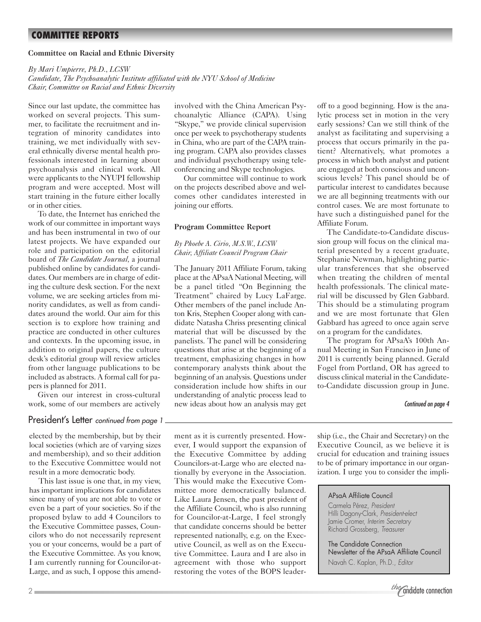# **COMMITTEE REPORTS**

#### **Committee on Racial and Ethnic Diversity**

*By Mari Umpierre, Ph.D., LCSW*

*Candidate, The Psychoanalytic Institute affiliated with the NYU School of Medicine Chair, Committee on Racial and Ethnic Diversity*

Since our last update, the committee has worked on several projects. This summer, to facilitate the recruitment and integration of minority candidates into training, we met individually with several ethnically diverse mental health professionals interested in learning about psychoanalysis and clinical work. All were applicants to the NYUPI fellowship program and were accepted. Most will start training in the future either locally or in other cities.

To date, the Internet has enriched the work of our committee in important ways and has been instrumental in two of our latest projects. We have expanded our role and participation on the editorial board of *The Candidate Journal,* a journal published online by candidates for candidates. Our members are in charge of editing the culture desk section. For the next volume, we are seeking articles from minority candidates, as well as from candidates around the world. Our aim for this section is to explore how training and practice are conducted in other cultures and contexts. In the upcoming issue, in addition to original papers, the culture desk's editorial group will review articles from other language publications to be included as abstracts. A formal call for papers is planned for 2011.

Given our interest in cross-cultural work, some of our members are actively

### President's Letter continued from page 1

elected by the membership, but by their local societies (which are of varying sizes and membership), and so their addition to the Executive Committee would not result in a more democratic body.

This last issue is one that, in my view, has important implications for candidates since many of you are not able to vote or even be a part of your societies. So if the proposed bylaw to add 4 Councilors to the Executive Committee passes, Councilors who do not necessarily represent you or your concerns, would be a part of the Executive Committee. As you know, I am currently running for Councilor-at-Large, and as such, I oppose this amend-

involved with the China American Psychoanalytic Alliance (CAPA). Using "Skype," we provide clinical supervision once per week to psychotherapy students in China, who are part of the CAPA training program. CAPA also provides classes and individual psychotherapy using teleconferencing and Skype technologies.

Our committee will continue to work on the projects described above and welcomes other candidates interested in joining our efforts.

#### **Program Committee Report**

*By Phoebe A. Cirio, M.S.W., LCSW Chair, Affiliate Council Program Chair*

The January 2011 Affiliate Forum, taking place at the APsaA National Meeting, will be a panel titled "On Beginning the Treatment" chaired by Lucy LaFarge. Other members of the panel include Anton Kris, Stephen Cooper along with candidate Natasha Chriss presenting clinical material that will be discussed by the panelists. The panel will be considering questions that arise at the beginning of a treatment, emphasizing changes in how contemporary analysts think about the beginning of an analysis. Questions under consideration include how shifts in our understanding of analytic process lead to new ideas about how an analysis may get off to a good beginning. How is the analytic process set in motion in the very early sessions? Can we still think of the analyst as facilitating and supervising a process that occurs primarily in the patient? Alternatively, what promotes a process in which both analyst and patient are engaged at both conscious and unconscious levels? This panel should be of particular interest to candidates because we are all beginning treatments with our control cases. We are most fortunate to have such a distinguished panel for the Affiliate Forum.

The Candidate-to-Candidate discussion group will focus on the clinical material presented by a recent graduate, Stephanie Newman, highlighting particular transferences that she observed when treating the children of mental health professionals. The clinical material will be discussed by Glen Gabbard. This should be a stimulating program and we are most fortunate that Glen Gabbard has agreed to once again serve on a program for the candidates.

The program for APsaA's 100th Annual Meeting in San Francisco in June of 2011 is currently being planned. Gerald Fogel from Portland, OR has agreed to discuss clinical material in the Candidateto-Candidate discussion group in June.

#### Continued on page 4

ment as it is currently presented. However, I would support the expansion of the Executive Committee by adding Councilors-at-Large who are elected nationally by everyone in the Association. This would make the Executive Committee more democratically balanced. Like Laura Jensen, the past president of the Affiliate Council, who is also running for Councilor-at-Large, I feel strongly that candidate concerns should be better represented nationally, e.g. on the Executive Council, as well as on the Executive Committee. Laura and I are also in agreement with those who support restoring the votes of the BOPS leadership (i.e., the Chair and Secretary) on the Executive Council, as we believe it is crucial for education and training issues to be of primary importance in our organization. I urge you to consider the impli-

#### APsaA Affiliate Council

Carmela Pérez, President Hilli Dagony-Clark, President-elect Jamie Cromer, Interim Secretary Richard Grossberg, Treasurer

The Candidate Connection Newsletter of the APsaA Affiliate Council Navah C. Kaplan, Ph.D., Editor

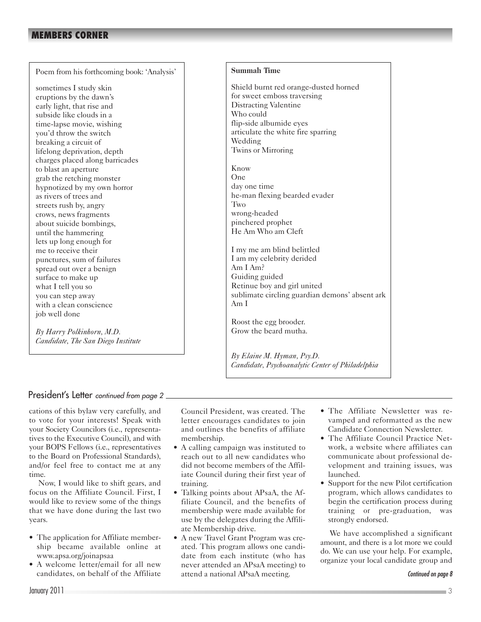# **MEMBERS CORNER**

Poem from his forthcoming book: 'Analysis'

sometimes I study skin eruptions by the dawn's early light, that rise and subside like clouds in a time-lapse movie, wishing you'd throw the switch breaking a circuit of lifelong deprivation, depth charges placed along barricades to blast an aperture grab the retching monster hypnotized by my own horror as rivers of trees and streets rush by, angry crows, news fragments about suicide bombings, until the hammering lets up long enough for me to receive their punctures, sum of failures spread out over a benign surface to make up what I tell you so you can step away with a clean conscience job well done

*By Harry Polkinhorn, M.D. Candidate, The San Diego Institute*

### **Summah Time**

Shield burnt red orange-dusted horned for sweet emboss traversing Distracting Valentine Who could flip-side albumide eyes articulate the white fire sparring Wedding Twins or Mirroring

Know One day one time he-man flexing bearded evader Two wrong-headed pinchered prophet He Am Who am Cleft

I my me am blind belittled I am my celebrity derided Am I Am? Guiding guided Retinue boy and girl united sublimate circling guardian demons' absent ark Am I

Roost the egg brooder. Grow the beard mutha.

*By Elaine M. Hyman, Psy.D. Candidate, Psychoanalytic Center of Philadelphia*

# President's Letter continued from page 2

cations of this bylaw very carefully, and to vote for your interests! Speak with your Society Councilors (i.e., representatives to the Executive Council), and with your BOPS Fellows (i.e., representatives to the Board on Professional Standards), and/or feel free to contact me at any time.

Now, I would like to shift gears, and focus on the Affiliate Council. First, I would like to review some of the things that we have done during the last two years.

- The application for Affiliate membership became available online at www.apsa.org/joinapsaa
- A welcome letter/email for all new candidates, on behalf of the Affiliate

Council President, was created. The letter encourages candidates to join and outlines the benefits of affiliate membership.

- A calling campaign was instituted to reach out to all new candidates who did not become members of the Affiliate Council during their first year of training.
- Talking points about APsaA, the Affiliate Council, and the benefits of membership were made available for use by the delegates during the Affiliate Membership drive.
- A new Travel Grant Program was created. This program allows one candidate from each institute (who has never attended an APsaA meeting) to attend a national APsaA meeting.
- The Affiliate Newsletter was revamped and reformatted as the new Candidate Connection Newsletter.
- The Affiliate Council Practice Network, a website where affiliates can communicate about professional development and training issues, was launched.
- Support for the new Pilot certification program, which allows candidates to begin the certification process during training or pre-graduation, was strongly endorsed.

We have accomplished a significant amount, and there is a lot more we could do. We can use your help. For example, organize your local candidate group and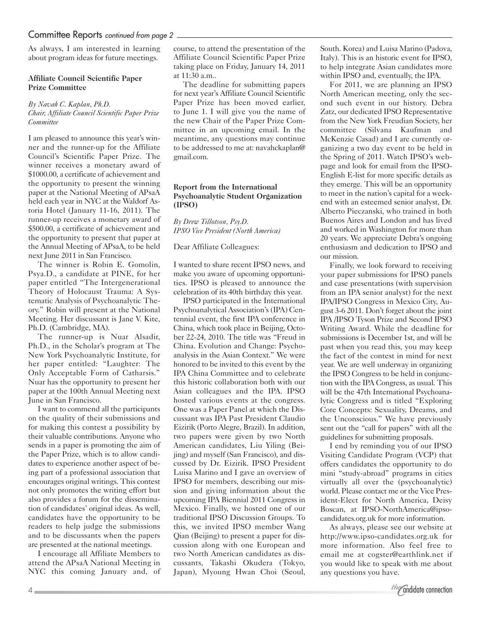# Committee Reports continued from page 2

As always, I am interested in learning about program ideas for future meetings.

#### **Affiliate Council Scientific Paper Prize Committee**

#### *By Navah C. Kaplan, Ph.D. Chair, Affiliate Council Scientific Paper Prize Committee*

I am pleased to announce this year's winner and the runner-up for the Affiliate Council's Scientific Paper Prize. The winner receives a monetary award of \$1000.00, a certificate of achievement and the opportunity to present the winning paper at the National Meeting of APsaA held each year in NYC at the Waldorf Astoria Hotel (January 11-16, 2011). The runner-up receives a monetary award of \$500.00, a certificate of achievement and the opportunity to present that paper at the Annual Meeting of APsaA, to be held next June 2011 in San Francisco.

The winner is Robin E. Gomolin, Psya.D., a candidate at PINE, for her paper entitled "The Intergenerational Theory of Holocaust Trauma: A Systematic Analysis of Psychoanalytic Theory." Robin will present at the National Meeting. Her discussant is Jane V. Kite, Ph.D. (Cambridge, MA).

The runner-up is Nuar Alsadir, Ph.D., in the Scholar's program at The New York Psychoanalytic Institute, for her paper entitled: "Laughter: The Only Acceptable Form of Catharsis." Nuar has the opportunity to present her paper at the 100th Annual Meeting next June in San Francisco.

I want to commend all the participants on the quality of their submissions and for making this contest a possibility by their valuable contributions. Anyone who sends in a paper is promoting the aim of the Paper Prize, which is to allow candidates to experience another aspect of being part of a professional association that encourages original writings. This contest not only promotes the writing effort but also provides a forum for the dissemination of candidates' original ideas. As well, candidates have the opportunity to be readers to help judge the submissions and to be discussants when the papers are presented at the national meetings.

I encourage all Affiliate Members to attend the APsaA National Meeting in NYC this coming January and, of course, to attend the presentation of the Affiliate Council Scientific Paper Prize taking place on Friday, January 14, 2011 at 11:30 a.m..

The deadline for submitting papers for next year's Affiliate Council Scientific Paper Prize has been moved earlier, to June 1. I will give you the name of the new Chair of the Paper Prize Committee in an upcoming email. In the meantime, any questions may continue to be addressed to me at: navahckaplan@ gmail.com.

#### **Report from the International Psychoanalytic Student Organization (IPSO)**

*By Drew Tillotson, Psy.D. IPSO Vice President (North America)*

#### Dear Affiliate Colleagues:

I wanted to share recent IPSO news, and make you aware of upcoming opportunities. IPSO is pleased to announce the celebration of its 40th birthday this year.

IPSO participated in the International Psychoanalytical Association's (IPA) Centennial event, the first IPA conference in China, which took place in Beijing, October 22-24, 2010. The title was "Freud in China. Evolution and Change: Psychoanalysis in the Asian Context." We were honored to be invited to this event by the IPA China Committee and to celebrate this historic collaboration both with our Asian colleagues and the IPA. IPSO hosted various events at the congress. One was a Paper Panel at which the Discussant was IPA Past President Claudio Eizirik (Porto Alegre, Brazil). In addition, two papers were given by two North American candidates, Liu Yiling (Beijing) and myself (San Francisco), and discussed by Dr. Eizirik. IPSO President Luisa Marino and I gave an overview of IPSO for members, describing our mission and giving information about the upcoming IPA Biennial 2011 Congress in Mexico. Finally, we hosted one of our traditional IPSO Discussion Groups. To this, we invited IPSO member Wang Qian (Beijing) to present a paper for discussion along with one European and two North American candidates as discussants, Takashi Okudera (Tokyo, Japan), Myoung Hwan Choi (Seoul, South. Korea) and Luisa Marino (Padova, Italy). This is an historic event for IPSO, to help integrate Asian candidates more within IPSO and, eventually, the IPA.

For 2011, we are planning an IPSO North American meeting, only the second such event in our history. Debra Zatz, our dedicated IPSO Representative from the New York Freudian Society, her committee (Silvana Kaufman and McKenzie Casad) and I are currently organizing a two day event to be held in the Spring of 2011. Watch IPSO's webpage and look for email from the IPSO-English E-list for more specific details as they emerge. This will be an opportunity to meet in the nation's capital for a weekend with an esteemed senior analyst, Dr. Alberto Pieczanski, who trained in both Buenos Aires and London and has lived and worked in Washington for more than 20 years. We appreciate Debra's ongoing enthusiasm and dedication to IPSO and our mission.

Finally, we look forward to receiving your paper submissions for IPSO panels and case presentations (with supervision from an IPA senior analyst) for the next IPA/IPSO Congress in Mexico City, August 3-6 2011. Don't forget about the joint IPA /IPSO Tyson Prize and Second IPSO Writing Award. While the deadline for submissions is December 1st, and will be past when you read this, you may keep the fact of the contest in mind for next year. We are well underway in organizing the IPSO Congress to be held in conjunction with the IPA Congress, as usual. This will be the 47th International Psychoanalytic Congress and is titled "Exploring Core Concepts: Sexuality, Dreams, and the Unconscious." We have previously sent out the "call for papers" with all the guidelines for submitting proposals.

I end by reminding you of our IPSO Visiting Candidate Program (VCP) that offers candidates the opportunity to do mini "study-abroad" programs in cities virtually all over the (psychoanalytic) world. Please contact me or the Vice President-Elect for North America, Deisy Boscan, at IPSO-NorthAmerica@ipsocandidates.org.uk for more information.

As always, please see our website at http://www.ipso-candidates.org.uk for more information. Also feel free to email me at cogster@earthlink.net if you would like to speak with me about any questions you have.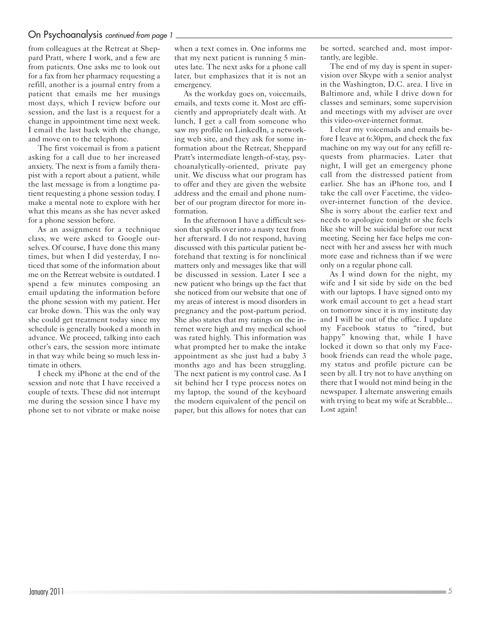# On Psychoanalysis continued from page 1

from colleagues at the Retreat at Sheppard Pratt, where I work, and a few are from patients. One asks me to look out for a fax from her pharmacy requesting a refill, another is a journal entry from a patient that emails me her musings most days, which I review before our session, and the last is a request for a change in appointment time next week. I email the last back with the change, and move on to the telephone.

The first voicemail is from a patient asking for a call due to her increased anxiety. The next is from a family therapist with a report about a patient, while the last message is from a longtime patient requesting a phone session today. I make a mental note to explore with her what this means as she has never asked for a phone session before.

As an assignment for a technique class, we were asked to Google ourselves. Of course, I have done this many times, but when I did yesterday, I noticed that some of the information about me on the Retreat website is outdated. I spend a few minutes composing an email updating the information before the phone session with my patient. Her car broke down. This was the only way she could get treatment today since my schedule is generally booked a month in advance. We proceed, talking into each other's ears, the session more intimate in that way while being so much less intimate in others.

I check my iPhone at the end of the session and note that I have received a couple of texts. These did not interrupt me during the session since I have my phone set to not vibrate or make noise

when a text comes in. One informs me that my next patient is running 5 minutes late. The next asks for a phone call later, but emphasizes that it is not an emergency.

As the workday goes on, voicemails, emails, and texts come it. Most are efficiently and appropriately dealt with. At lunch, I get a call from someone who saw my profile on LinkedIn, a networking web site, and they ask for some information about the Retreat, Sheppard Pratt's intermediate length-of-stay, psychoanalytically-oriented, private pay unit. We discuss what our program has to offer and they are given the website address and the email and phone number of our program director for more information.

In the afternoon I have a difficult session that spills over into a nasty text from her afterward. I do not respond, having discussed with this particular patient beforehand that texting is for nonclinical matters only and messages like that will be discussed in session. Later I see a new patient who brings up the fact that she noticed from our website that one of my areas of interest is mood disorders in pregnancy and the post-partum period. She also states that my ratings on the internet were high and my medical school was rated highly. This information was what prompted her to make the intake appointment as she just had a baby 3 months ago and has been struggling. The next patient is my control case. As I sit behind her I type process notes on my laptop, the sound of the keyboard the modern equivalent of the pencil on paper, but this allows for notes that can be sorted, searched and, most importantly, are legible.

The end of my day is spent in supervision over Skype with a senior analyst in the Washington, D.C. area. I live in Baltimore and, while I drive down for classes and seminars, some supervision and meetings with my adviser are over this video-over-internet format.

I clear my voicemails and emails before I leave at 6:30pm, and check the fax machine on my way out for any refill requests from pharmacies. Later that night, I will get an emergency phone call from the distressed patient from earlier. She has an iPhone too, and I take the call over Facetime, the videoover-internet function of the device. She is sorry about the earlier text and needs to apologize tonight or she feels like she will be suicidal before our next meeting. Seeing her face helps me connect with her and assess her with much more ease and richness than if we were only on a regular phone call.

As I wind down for the night, my wife and I sit side by side on the bed with our laptops. I have signed onto my work email account to get a head start on tomorrow since it is my institute day and I will be out of the office. I update my Facebook status to "tired, but happy" knowing that, while I have locked it down so that only my Facebook friends can read the whole page, my status and profile picture can be seen by all. I try not to have anything on there that I would not mind being in the newspaper. I alternate answering emails with trying to beat my wife at Scrabble... Lost again!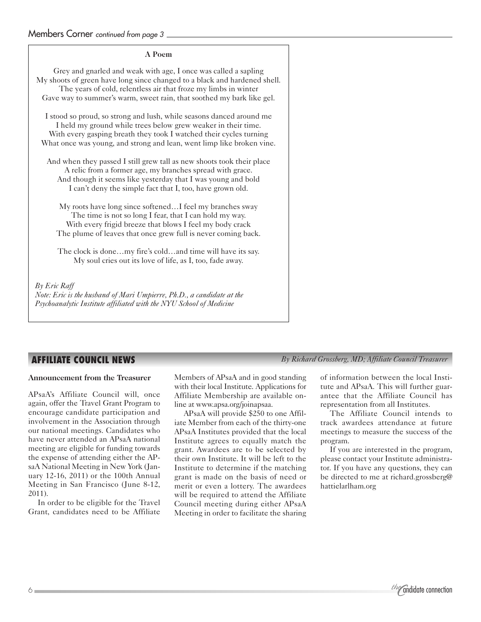### **A Poem**

Grey and gnarled and weak with age, I once was called a sapling My shoots of green have long since changed to a black and hardened shell. The years of cold, relentless air that froze my limbs in winter Gave way to summer's warm, sweet rain, that soothed my bark like gel.

I stood so proud, so strong and lush, while seasons danced around me I held my ground while trees below grew weaker in their time. With every gasping breath they took I watched their cycles turning What once was young, and strong and lean, went limp like broken vine.

And when they passed I still grew tall as new shoots took their place A relic from a former age, my branches spread with grace. And though it seems like yesterday that I was young and bold I can't deny the simple fact that I, too, have grown old.

My roots have long since softened…I feel my branches sway The time is not so long I fear, that I can hold my way. With every frigid breeze that blows I feel my body crack The plume of leaves that once grew full is never coming back.

The clock is done…my fire's cold…and time will have its say. My soul cries out its love of life, as I, too, fade away.

*By Eric Raff Note: Eric is the husband of Mari Umpierre, Ph.D., a candidate at the Psychoanalytic Institute affiliated with the NYU School of Medicine*

# **AFFILIATE COUNCIL NEWS**

### **Announcement from the Treasurer**

APsaA's Affiliate Council will, once again, offer the Travel Grant Program to encourage candidate participation and involvement in the Association through our national meetings. Candidates who have never attended an APsaA national meeting are eligible for funding towards the expense of attending either the APsaA National Meeting in New York (January 12-16, 2011) or the 100th Annual Meeting in San Francisco (June 8-12, 2011).

In order to be eligible for the Travel Grant, candidates need to be Affiliate Members of APsaA and in good standing with their local Institute. Applications for Affiliate Membership are available online at www.apsa.org/joinapsaa.

APsaA will provide \$250 to one Affiliate Member from each of the thirty-one APsaA Institutes provided that the local Institute agrees to equally match the grant. Awardees are to be selected by their own Institute. It will be left to the Institute to determine if the matching grant is made on the basis of need or merit or even a lottery. The awardees will be required to attend the Affiliate Council meeting during either APsaA Meeting in order to facilitate the sharing

*By Richard Grossberg, MD; Affiliate Council Treasurer*

of information between the local Institute and APsaA. This will further guarantee that the Affiliate Council has representation from all Institutes.

The Affiliate Council intends to track awardees attendance at future meetings to measure the success of the program.

If you are interested in the program, please contact your Institute administrator. If you have any questions, they can be directed to me at richard.grossberg@ hattielarlham.org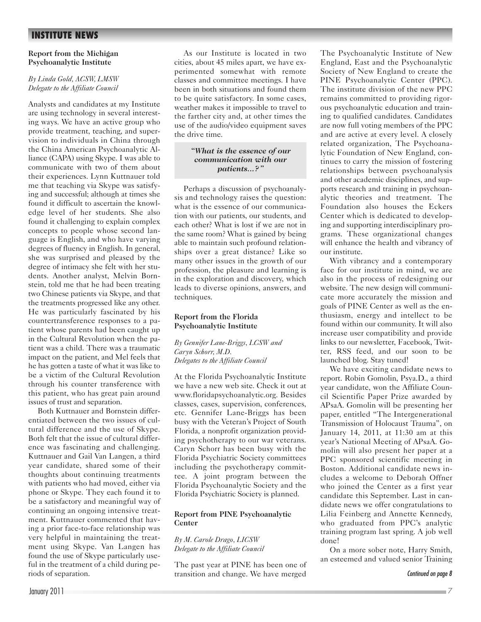# **INSTITUTE NEWS**

#### **Report from the Michigan Psychoanalytic Institute**

### *By Linda Gold, ACSW, LMSW Delegate to the Affiliate Council*

Analysts and candidates at my Institute are using technology in several interesting ways. We have an active group who provide treatment, teaching, and supervision to individuals in China through the China American Psychoanalytic Alliance (CAPA) using Skype. I was able to communicate with two of them about their experiences. Lynn Kuttnauer told me that teaching via Skype was satisfying and successful; although at times she found it difficult to ascertain the knowledge level of her students. She also found it challenging to explain complex concepts to people whose second language is English, and who have varying degrees of fluency in English. In general, she was surprised and pleased by the degree of intimacy she felt with her students. Another analyst, Melvin Bornstein, told me that he had been treating two Chinese patients via Skype, and that the treatments progressed like any other. He was particularly fascinated by his countertransference responses to a patient whose parents had been caught up in the Cultural Revolution when the patient was a child. There was a traumatic impact on the patient, and Mel feels that he has gotten a taste of what it was like to be a victim of the Cultural Revolution through his counter transference with this patient, who has great pain around issues of trust and separation.

Both Kuttnauer and Bornstein differentiated between the two issues of cultural difference and the use of Skype. Both felt that the issue of cultural difference was fascinating and challenging. Kuttnauer and Gail Van Langen, a third year candidate, shared some of their thoughts about continuing treatments with patients who had moved, either via phone or Skype. They each found it to be a satisfactory and meaningful way of continuing an ongoing intensive treatment. Kuttnauer commented that having a prior face-to-face relationship was very helpful in maintaining the treatment using Skype. Van Langen has found the use of Skype particularly useful in the treatment of a child during periods of separation.

As our Institute is located in two cities, about 45 miles apart, we have experimented somewhat with remote classes and committee meetings. I have been in both situations and found them to be quite satisfactory. In some cases, weather makes it impossible to travel to the farther city and, at other times the use of the audio/video equipment saves the drive time.

#### *"What is the essence of our communication with our patients...?"*

Perhaps a discussion of psychoanalysis and technology raises the question: what is the essence of our communication with our patients, our students, and each other? What is lost if we are not in the same room? What is gained by being able to maintain such profound relationships over a great distance? Like so many other issues in the growth of our profession, the pleasure and learning is in the exploration and discovery, which leads to diverse opinions, answers, and techniques.

### **Report from the Florida Psychoanalytic Institute**

*By Gennifer Lane-Briggs, LCSW and Caryn Schorr, M.D. Delegates to the Affiliate Council*

At the Florida Psychoanalytic Institute we have a new web site. Check it out at www.floridapsychoanalytic.org. Besides classes, cases, supervision, conferences, etc. Gennifer Lane-Briggs has been busy with the Veteran's Project of South Florida, a nonprofit organization providing psychotherapy to our war veterans. Caryn Schorr has been busy with the Florida Psychiatric Society committees including the psychotherapy committee. A joint program between the Florida Psychoanalytic Society and the Florida Psychiatric Society is planned.

### **Report from PINE Psychoanalytic Center**

### *By M. Carole Drago, LICSW Delegate to the Affiliate Council*

The past year at PINE has been one of transition and change. We have merged The Psychoanalytic Institute of New England, East and the Psychoanalytic Society of New England to create the PINE Psychoanalytic Center (PPC). The institute division of the new PPC remains committed to providing rigorous psychoanalytic education and training to qualified candidates. Candidates are now full voting members of the PPC and are active at every level. A closely related organization, The Psychoanalytic Foundation of New England, continues to carry the mission of fostering relationships between psychoanalysis and other academic disciplines, and supports research and training in psychoanalytic theories and treatment. The Foundation also houses the Eckers Center which is dedicated to developing and supporting interdisciplinary programs. These organizational changes will enhance the health and vibrancy of our institute.

With vibrancy and a contemporary face for our institute in mind, we are also in the process of redesigning our website. The new design will communicate more accurately the mission and goals of PINE Center as well as the enthusiasm, energy and intellect to be found within our community. It will also increase user compatibility and provide links to our newsletter, Facebook, Twitter, RSS feed, and our soon to be launched blog. Stay tuned!

We have exciting candidate news to report. Robin Gomolin, Psya.D., a third year candidate, won the Affiliate Council Scientific Paper Prize awarded by APsaA. Gomolin will be presenting her paper, entitled "The Intergenerational Transmission of Holocaust Trauma", on January 14, 2011, at 11:30 am at this year's National Meeting of APsaA. Gomolin will also present her paper at a PPC sponsored scientific meeting in Boston. Additional candidate news includes a welcome to Deborah Offner who joined the Center as a first year candidate this September. Last in candidate news we offer congratulations to Lilia Feinberg and Annette Kennedy, who graduated from PPC's analytic training program last spring. A job well done!

On a more sober note, Harry Smith, an esteemed and valued senior Training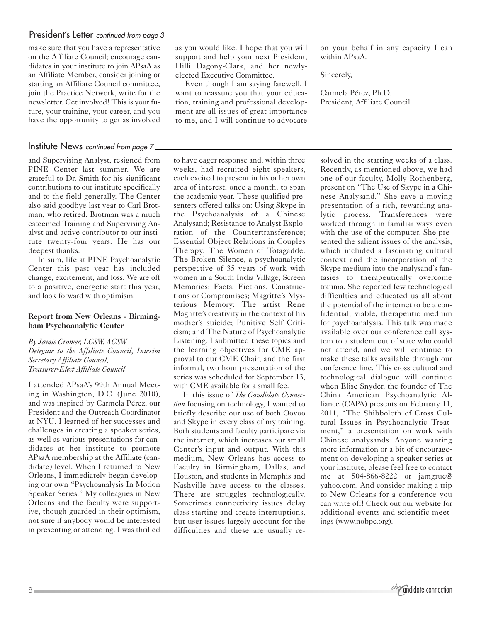# President's Letter continued from page 3 -

make sure that you have a representative on the Affiliate Council; encourage candidates in your institute to join APsaA as an Affiliate Member, consider joining or starting an Affiliate Council committee, join the Practice Network, write for the newsletter. Get involved! This is your future, your training, your career, and you have the opportunity to get as involved

## Institute News continued from page 7

and Supervising Analyst, resigned from PINE Center last summer. We are grateful to Dr. Smith for his significant contributions to our institute specifically and to the field generally. The Center also said goodbye last year to Carl Brotman, who retired. Brotman was a much esteemed Training and Supervising Analyst and active contributor to our institute twenty-four years. He has our deepest thanks.

In sum, life at PINE Psychoanalytic Center this past year has included change, excitement, and loss. We are off to a positive, energetic start this year, and look forward with optimism.

#### **Report from New Orleans - Birmingham Psychoanalytic Center**

*By Jamie Cromer, LCSW, ACSW Delegate to the Affiliate Council, Interim Secretary Affiliate Council, Treasurer-Elect Affiliate Council*

I attended APsaA's 99th Annual Meeting in Washington, D.C. (June 2010), and was inspired by Carmela Pérez, our President and the Outreach Coordinator at NYU. I learned of her successes and challenges in creating a speaker series, as well as various presentations for candidates at her institute to promote APsaA membership at the Affiliate (candidate) level. When I returned to New Orleans, I immediately began developing our own "Psychoanalysis In Motion Speaker Series." My colleagues in New Orleans and the faculty were supportive, though guarded in their optimism, not sure if anybody would be interested in presenting or attending. I was thrilled

as you would like. I hope that you will support and help your next President, Hilli Dagony-Clark, and her newlyelected Executive Committee.

Even though I am saying farewell, I want to reassure you that your education, training and professional development are all issues of great importance to me, and I will continue to advocate

to have eager response and, within three weeks, had recruited eight speakers, each excited to present in his or her own area of interest, once a month, to span the academic year. These qualified presenters offered talks on: Using Skype in the Psychoanalysis of a Chinese Analysand; Resistance to Analyst Exploration of the Countertransference; Essential Object Relations in Couples Therapy; The Women of Totagadde: The Broken Silence, a psychoanalytic perspective of 35 years of work with women in a South India Village; Screen Memories: Facts, Fictions, Constructions or Compromises; Magritte's Mysterious Memory: The artist Rene Magritte's creativity in the context of his mother's suicide; Punitive Self Criticism; and The Nature of Psychoanalytic Listening. I submitted these topics and the learning objectives for CME approval to our CME Chair, and the first informal, two hour presentation of the series was scheduled for September 13, with CME available for a small fee.

In this issue of *The Candidate Connection* focusing on technology, I wanted to briefly describe our use of both Oovoo and Skype in every class of my training. Both students and faculty participate via the internet, which increases our small Center's input and output. With this medium, New Orleans has access to Faculty in Birmingham, Dallas, and Houston, and students in Memphis and Nashville have access to the classes. There are struggles technologically. Sometimes connectivity issues delay class starting and create interruptions, but user issues largely account for the difficulties and these are usually reon your behalf in any capacity I can within APsaA.

Sincerely,

Carmela Pérez, Ph.D. President, Affiliate Council

solved in the starting weeks of a class. Recently, as mentioned above, we had one of our faculty, Molly Rothenberg, present on "The Use of Skype in a Chinese Analysand." She gave a moving presentation of a rich, rewarding analytic process. Transferences were worked through in familiar ways even with the use of the computer. She presented the salient issues of the analysis, which included a fascinating cultural context and the incorporation of the Skype medium into the analysand's fantasies to therapeutically overcome trauma. She reported few technological difficulties and educated us all about the potential of the internet to be a confidential, viable, therapeutic medium for psychoanalysis. This talk was made available over our conference call system to a student out of state who could not attend, and we will continue to make these talks available through our conference line. This cross cultural and technological dialogue will continue when Elise Snyder, the founder of The China American Psychoanalytic Alliance (CAPA) presents on February 11, 2011, "The Shibboleth of Cross Cultural Issues in Psychoanalytic Treatment," a presentation on work with Chinese analysands. Anyone wanting more information or a bit of encouragement on developing a speaker series at your institute, please feel free to contact me at 504-866-8222 or jamgrue@ yahoo.com. And consider making a trip to New Orleans for a conference you can write off! Check out our website for additional events and scientific meetings (www.nobpc.org).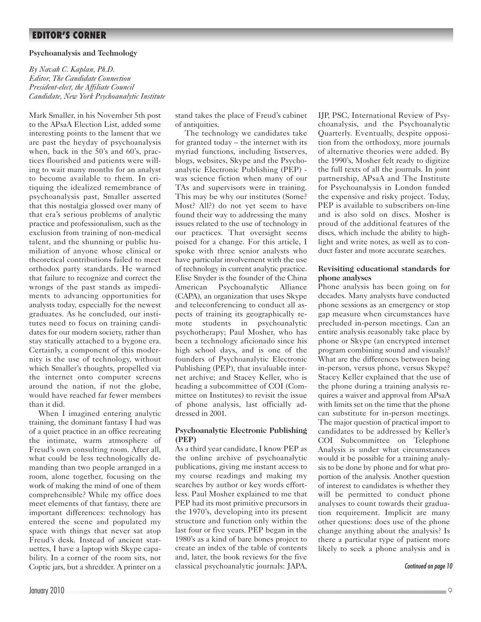# **EDITOR'S CORNER**

#### **Psychoanalysis and Technology**

*By Navah C. Kaplan, Ph.D. Editor, The Candidate Connection President-elect, the Affiliate Council Candidate, New York Psychoanalytic Institute*

Mark Smaller, in his November 5th post to the APsaA Election List, added some interesting points to the lament that we are past the heyday of psychoanalysis when, back in the 50's and 60's, practices flourished and patients were willing to wait many months for an analyst to become available to them. In critiquing the idealized remembrance of psychoanalysis past, Smaller asserted that this nostalgia glossed over many of that era's serious problems of analytic practice and professionalism, such as the exclusion from training of non-medical talent, and the shunning or public humiliation of anyone whose clinical or theoretical contributions failed to meet orthodox party standards. He warned that failure to recognize and correct the wrongs of the past stands as impediments to advancing opportunities for analysts today, especially for the newest graduates. As he concluded, our institutes need to focus on training candidates for our modern society, rather than stay statically attached to a bygone era. Certainly, a component of this modernity is the use of technology, without which Smaller's thoughts, propelled via the internet onto computer screens around the nation, if not the globe, would have reached far fewer members than it did.

When I imagined entering analytic training, the dominant fantasy I had was of a quiet practice in an office recreating the intimate, warm atmosphere of Freud's own consulting room. After all, what could be less technologically demanding than two people arranged in a room, alone together, focusing on the work of making the mind of one of them comprehensible? While my office does meet elements of that fantasy, there are important differences: technology has entered the scene and populated my space with things that never sat atop Freud's desk. Instead of ancient statuettes, I have a laptop with Skype capability. In a corner of the room sits, not Coptic jars, but a shredder. A printer on a stand takes the place of Freud's cabinet of antiquities.

The technology we candidates take for granted today – the internet with its myriad functions, including listserves, blogs, websites, Skype and the Psychoanalytic Electronic Publishing (PEP) was science fiction when many of our TAs and supervisors were in training. This may be why our institutes (Some? Most? All?) do not yet seem to have found their way to addressing the many issues related to the use of technology in our practices. That oversight seems poised for a change. For this article, I spoke with three senior analysts who have particular involvement with the use of technology in current analytic practice. Elise Snyder is the founder of the China American Psychoanalytic Alliance (CAPA), an organization that uses Skype and teleconferencing to conduct all aspects of training its geographically remote students in psychoanalytic psychotherapy; Paul Mosher, who has been a technology aficionado since his high school days, and is one of the founders of Psychoanalytic Electronic Publishing (PEP), that invaluable internet archive; and Stacey Keller, who is heading a subcommittee of COI (Committee on Institutes) to revisit the issue of phone analysis, last officially addressed in 2001.

#### **Psychoanalytic Electronic Publishing (PEP)**

As a third year candidate, I know PEP as the online archive of psychoanalytic publications, giving me instant access to my course readings and making my searches by author or key words effortless. Paul Mosher explained to me that PEP had its most primitive precursors in the 1970's, developing into its present structure and function only within the last four or five years. PEP began in the 1980's as a kind of bare bones project to create an index of the table of contents and, later, the book reviews for the five classical psychoanalytic journals: JAPA, IJP, PSC, International Review of Psychoanalysis, and the Psychoanalytic Quarterly. Eventually, despite opposition from the orthodoxy, more journals of alternative theories were added. By the 1990's, Mosher felt ready to digitize the full texts of all the journals. In joint partnership, APsaA and The Institute for Psychoanalysis in London funded the expensive and risky project. Today, PEP is available to subscribers on-line and is also sold on discs. Mosher is proud of the additional features of the discs, which include the ability to highlight and write notes, as well as to conduct faster and more accurate searches.

#### **Revisiting educational standards for phone analyses**

Phone analysis has been going on for decades. Many analysts have conducted phone sessions as an emergency or stop gap measure when circumstances have precluded in-person meetings. Can an entire analysis reasonably take place by phone or Skype (an encrypted internet program combining sound and visuals)? What are the differences between being in-person, versus phone, versus Skype? Stacey Keller explained that the use of the phone during a training analysis requires a waiver and approval from APsaA with limits set on the time that the phone can substitute for in-person meetings. The major question of practical import to candidates to be addressed by Keller's COI Subcommittee on Telephone Analysis is under what circumstances would it be possible for a training analysis to be done by phone and for what proportion of the analysis. Another question of interest to candidates is whether they will be permitted to conduct phone analyses to count towards their graduation requirement. Implicit are many other questions: does use of the phone change anything about the analysis? Is there a particular type of patient more likely to seek a phone analysis and is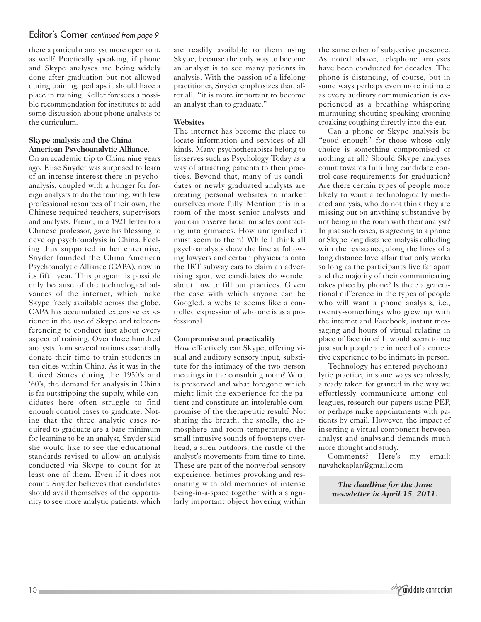# Editor's Corner continued from page 9.

there a particular analyst more open to it, as well? Practically speaking, if phone and Skype analyses are being widely done after graduation but not allowed during training, perhaps it should have a place in training. Keller foresees a possible recommendation for institutes to add some discussion about phone analysis to the curriculum.

### **Skype analysis and the China American Psychoanalytic Alliance.**

On an academic trip to China nine years ago, Elise Snyder was surprised to learn of an intense interest there in psychoanalysis, coupled with a hunger for foreign analysts to do the training: with few professional resources of their own, the Chinese required teachers, supervisors and analysts. Freud, in a 1921 letter to a Chinese professor, gave his blessing to develop psychoanalysis in China. Feeling thus supported in her enterprise, Snyder founded the China American Psychoanalytic Alliance (CAPA), now in its fifth year. This program is possible only because of the technological advances of the internet, which make Skype freely available across the globe. CAPA has accumulated extensive experience in the use of Skype and teleconferencing to conduct just about every aspect of training. Over three hundred analysts from several nations essentially donate their time to train students in ten cities within China. As it was in the United States during the 1950's and '60's, the demand for analysis in China is far outstripping the supply, while candidates here often struggle to find enough control cases to graduate. Noting that the three analytic cases required to graduate are a bare minimum for learning to be an analyst, Snyder said she would like to see the educational standards revised to allow an analysis conducted via Skype to count for at least one of them. Even if it does not count, Snyder believes that candidates should avail themselves of the opportunity to see more analytic patients, which

are readily available to them using Skype, because the only way to become an analyst is to see many patients in analysis. With the passion of a lifelong practitioner, Snyder emphasizes that, after all, "it is more important to become an analyst than to graduate."

### **Websites**

The internet has become the place to locate information and services of all kinds. Many psychotherapists belong to listserves such as Psychology Today as a way of attracting patients to their practices. Beyond that, many of us candidates or newly graduated analysts are creating personal websites to market ourselves more fully. Mention this in a room of the most senior analysts and you can observe facial muscles contracting into grimaces. How undignified it must seem to them! While I think all psychoanalysts draw the line at following lawyers and certain physicians onto the IRT subway cars to claim an advertising spot, we candidates do wonder about how to fill our practices. Given the ease with which anyone can be Googled, a website seems like a controlled expression of who one is as a professional.

### **Compromise and practicality**

How effectively can Skype, offering visual and auditory sensory input, substitute for the intimacy of the two-person meetings in the consulting room? What is preserved and what foregone which might limit the experience for the patient and constitute an intolerable compromise of the therapeutic result? Not sharing the breath, the smells, the atmosphere and room temperature, the small intrusive sounds of footsteps overhead, a siren outdoors, the rustle of the analyst's movements from time to time. These are part of the nonverbal sensory experience, betimes provoking and resonating with old memories of intense being-in-a-space together with a singularly important object hovering within the same ether of subjective presence. As noted above, telephone analyses have been conducted for decades. The phone is distancing, of course, but in some ways perhaps even more intimate as every auditory communication is experienced as a breathing whispering murmuring shouting speaking crooning croaking coughing directly into the ear.

Can a phone or Skype analysis be "good enough" for those whose only choice is something compromised or nothing at all? Should Skype analyses count towards fulfilling candidate control case requirements for graduation? Are there certain types of people more likely to want a technologically mediated analysis, who do not think they are missing out on anything substantive by not being in the room with their analyst? In just such cases, is agreeing to a phone or Skype long distance analysis colluding with the resistance, along the lines of a long distance love affair that only works so long as the participants live far apart and the majority of their communicating takes place by phone? Is there a generational difference in the types of people who will want a phone analysis, i.e., twenty-somethings who grew up with the internet and Facebook, instant messaging and hours of virtual relating in place of face time? It would seem to me just such people are in need of a corrective experience to be intimate in person.

Technology has entered psychoanalytic practice, in some ways seamlessly, already taken for granted in the way we effortlessly communicate among colleagues, research our papers using PEP, or perhaps make appointments with patients by email. However, the impact of inserting a virtual component between analyst and analysand demands much more thought and study.

Comments? Here's my email: navahckaplan@gmail.com

> *The deadline for the June newsletter is April 15, 2011.*

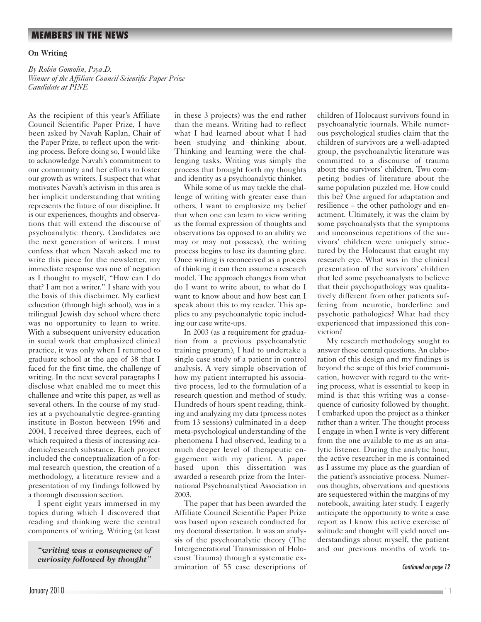# **MEMBERS IN THE NEWS**

#### **On Writing**

*By Robin Gomolin, Psya.D. Winner of the Affiliate Council Scientific Paper Prize Candidate at PINE*

As the recipient of this year's Affiliate Council Scientific Paper Prize, I have been asked by Navah Kaplan, Chair of the Paper Prize, to reflect upon the writing process. Before doing so, I would like to acknowledge Navah's commitment to our community and her efforts to foster our growth as writers. I suspect that what motivates Navah's activism in this area is her implicit understanding that writing represents the future of our discipline. It is our experiences, thoughts and observations that will extend the discourse of psychoanalytic theory. Candidates are the next generation of writers. I must confess that when Navah asked me to write this piece for the newsletter, my immediate response was one of negation as I thought to myself, "How can I do that? I am not a writer." I share with you the basis of this disclaimer. My earliest education (through high school), was in a trilingual Jewish day school where there was no opportunity to learn to write. With a subsequent university education in social work that emphasized clinical practice, it was only when I returned to graduate school at the age of 38 that I faced for the first time, the challenge of writing. In the next several paragraphs I disclose what enabled me to meet this challenge and write this paper, as well as several others. In the course of my studies at a psychoanalytic degree-granting institute in Boston between 1996 and 2004, I received three degrees, each of which required a thesis of increasing academic/research substance. Each project included the conceptualization of a formal research question, the creation of a methodology, a literature review and a presentation of my findings followed by a thorough discussion section.

I spent eight years immersed in my topics during which I discovered that reading and thinking were the central components of writing. Writing (at least

*"writing was a consequence of curiosity followed by thought"*

in these 3 projects) was the end rather than the means. Writing had to reflect what I had learned about what I had been studying and thinking about. Thinking and learning were the challenging tasks. Writing was simply the process that brought forth my thoughts and identity as a psychoanalytic thinker.

While some of us may tackle the challenge of writing with greater ease than others, I want to emphasize my belief that when one can learn to view writing as the formal expression of thoughts and observations (as opposed to an ability we may or may not possess), the writing process begins to lose its daunting glare. Once writing is reconceived as a process of thinking it can then assume a research model. The approach changes from what do I want to write about, to what do I want to know about and how best can I speak about this to my reader. This applies to any psychoanalytic topic including our case write-ups.

In 2003 (as a requirement for graduation from a previous psychoanalytic training program), I had to undertake a single case study of a patient in control analysis. A very simple observation of how my patient interrupted his associative process, led to the formulation of a research question and method of study. Hundreds of hours spent reading, thinking and analyzing my data (process notes from 13 sessions) culminated in a deep meta-psychological understanding of the phenomena I had observed, leading to a much deeper level of therapeutic engagement with my patient. A paper based upon this dissertation was awarded a research prize from the International Psychoanalytical Association in 2003.

The paper that has been awarded the Affiliate Council Scientific Paper Prize was based upon research conducted for my doctoral dissertation. It was an analysis of the psychoanalytic theory (The Intergenerational Transmission of Holocaust Trauma) through a systematic examination of 55 case descriptions of children of Holocaust survivors found in psychoanalytic journals. While numerous psychological studies claim that the children of survivors are a well-adapted group, the psychoanalytic literature was committed to a discourse of trauma about the survivors' children. Two competing bodies of literature about the same population puzzled me. How could this be? One argued for adaptation and resilience – the other pathology and enactment. Ultimately, it was the claim by some psychoanalysts that the symptoms and unconscious repetitions of the survivors' children were uniquely structured by the Holocaust that caught my research eye. What was in the clinical presentation of the survivors' children that led some psychoanalysts to believe that their psychopathology was qualitatively different from other patients suffering from neurotic, borderline and psychotic pathologies? What had they experienced that impassioned this conviction?

My research methodology sought to answer these central questions. An elaboration of this design and my findings is beyond the scope of this brief communication, however with regard to the writing process, what is essential to keep in mind is that this writing was a consequence of curiosity followed by thought. I embarked upon the project as a thinker rather than a writer. The thought process I engage in when I write is very different from the one available to me as an analytic listener. During the analytic hour, the active researcher in me is contained as I assume my place as the guardian of the patient's associative process. Numerous thoughts, observations and questions are sequestered within the margins of my notebook, awaiting later study. I eagerly anticipate the opportunity to write a case report as I know this active exercise of solitude and thought will yield novel understandings about myself, the patient and our previous months of work to-